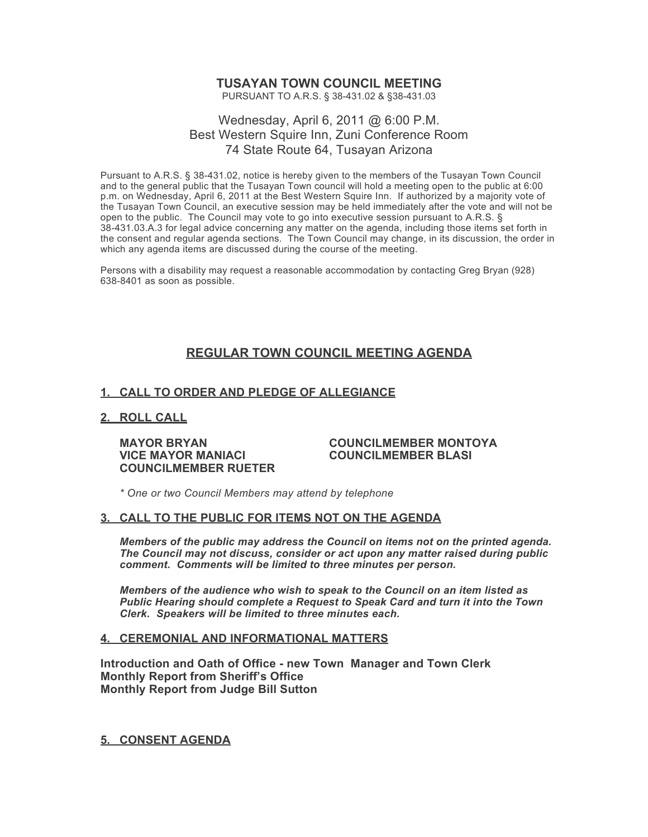### **TUSAYAN TOWN COUNCIL MEETING**

PURSUANT TO A.R.S. § 38-431.02 & §38-431.03

### Wednesday, April 6, 2011 @ 6:00 P.M. Best Western Squire Inn, Zuni Conference Room 74 State Route 64, Tusayan Arizona

Pursuant to A.R.S. § 38-431.02, notice is hereby given to the members of the Tusayan Town Council and to the general public that the Tusayan Town council will hold a meeting open to the public at 6:00 p.m. on Wednesday, April 6, 2011 at the Best Western Squire Inn. If authorized by a majority vote of the Tusayan Town Council, an executive session may be held immediately after the vote and will not be open to the public. The Council may vote to go into executive session pursuant to A.R.S. § 38-431.03.A.3 for legal advice concerning any matter on the agenda, including those items set forth in the consent and regular agenda sections. The Town Council may change, in its discussion, the order in which any agenda items are discussed during the course of the meeting.

Persons with a disability may request a reasonable accommodation by contacting Greg Bryan (928) 638-8401 as soon as possible.

### **REGULAR TOWN COUNCIL MEETING AGENDA**

### **1. CALL TO ORDER AND PLEDGE OF ALLEGIANCE**

### **2. ROLL CALL**

**VICE MAYOR MANIACI COUNCILMEMBER BLASI COUNCILMEMBER RUETER**

### **MAYOR BRYAN COUNCILMEMBER MONTOYA**

*\* One or two Council Members may attend by telephone*

### **3. CALL TO THE PUBLIC FOR ITEMS NOT ON THE AGENDA**

*Members of the public may address the Council* **o***n items not on the printed agenda. The Council may not discuss, consider or act upon any matter raised during public comment. Comments will be limited to three minutes per person.*

*Members of the audience who wish to speak to the Council on an item listed as Public Hearing should complete a Request to Speak Card and turn it into the Town Clerk. Speakers will be limited to three minutes each.*

#### **4. CEREMONIAL AND INFORMATIONAL MATTERS**

**Introduction and Oath of Office - new Town Manager and Town Clerk Monthly Report from Sheriff's Office Monthly Report from Judge Bill Sutton**

**5. CONSENT AGENDA**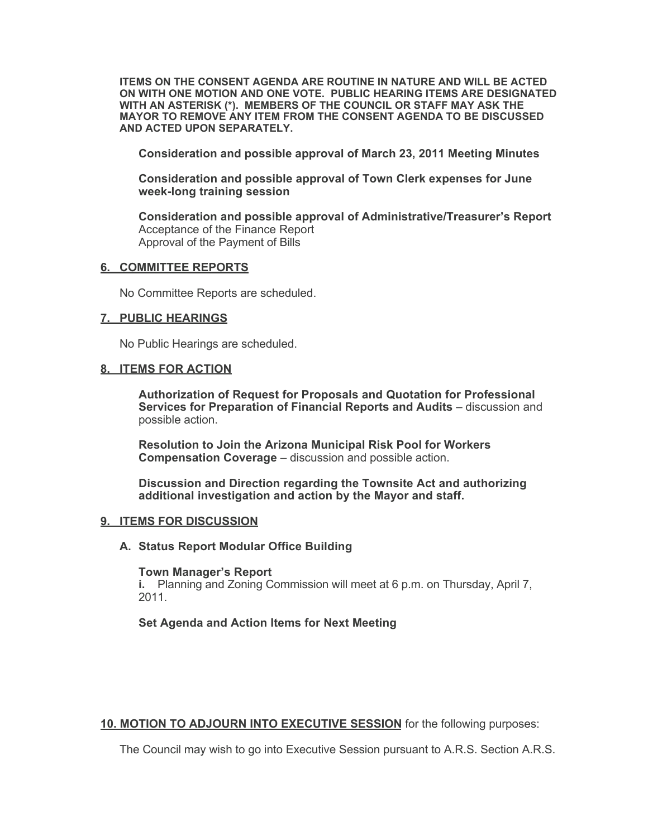**ITEMS ON THE CONSENT AGENDA ARE ROUTINE IN NATURE AND WILL BE ACTED ON WITH ONE MOTION AND ONE VOTE. PUBLIC HEARING ITEMS ARE DESIGNATED WITH AN ASTERISK (\*). MEMBERS OF THE COUNCIL OR STAFF MAY ASK THE MAYOR TO REMOVE ANY ITEM FROM THE CONSENT AGENDA TO BE DISCUSSED AND ACTED UPON SEPARATELY.**

**Consideration and possible approval of March 23, 2011 Meeting Minutes**

**Consideration and possible approval of Town Clerk expenses for June week-long training session**

**Consideration and possible approval of Administrative/Treasurer's Report** Acceptance of the Finance Report Approval of the Payment of Bills

### **6. COMMITTEE REPORTS**

No Committee Reports are scheduled.

### **7. PUBLIC HEARINGS**

No Public Hearings are scheduled.

### **8. ITEMS FOR ACTION**

**Authorization of Request for Proposals and Quotation for Professional Services for Preparation of Financial Reports and Audits** – discussion and possible action.

**Resolution to Join the Arizona Municipal Risk Pool for Workers Compensation Coverage** – discussion and possible action.

**Discussion and Direction regarding the Townsite Act and authorizing additional investigation and action by the Mayor and staff.**

#### **9. ITEMS FOR DISCUSSION**

### **A. Status Report Modular Office Building**

#### **Town Manager's Report**

**i.** Planning and Zoning Commission will meet at 6 p.m. on Thursday, April 7, 2011.

### **Set Agenda and Action Items for Next Meeting**

**10. MOTION TO ADJOURN INTO EXECUTIVE SESSION** for the following purposes:

The Council may wish to go into Executive Session pursuant to A.R.S. Section A.R.S.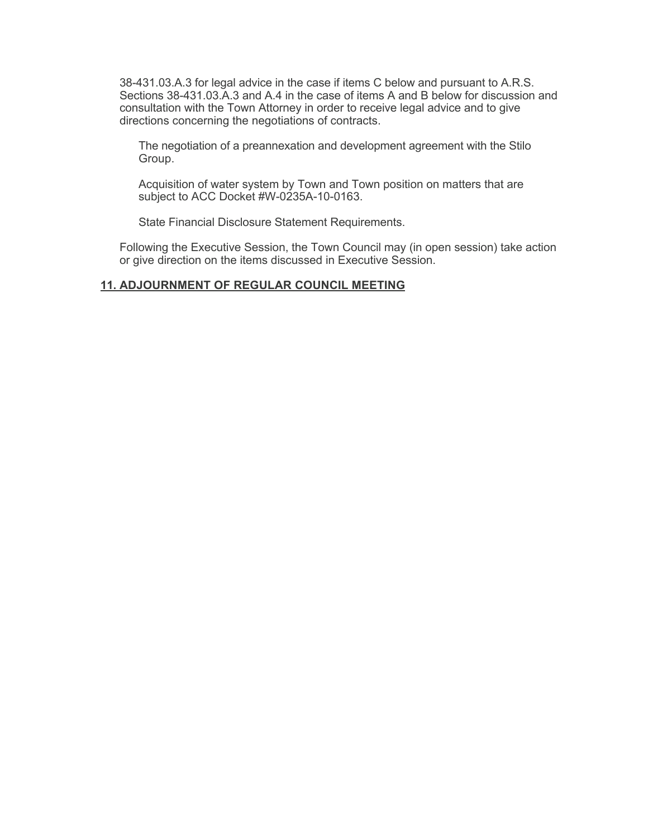38-431.03.A.3 for legal advice in the case if items C below and pursuant to A.R.S. Sections 38-431.03.A.3 and A.4 in the case of items A and B below for discussion and consultation with the Town Attorney in order to receive legal advice and to give directions concerning the negotiations of contracts.

The negotiation of a preannexation and development agreement with the Stilo Group.

Acquisition of water system by Town and Town position on matters that are subject to ACC Docket #W-0235A-10-0163.

State Financial Disclosure Statement Requirements.

Following the Executive Session, the Town Council may (in open session) take action or give direction on the items discussed in Executive Session.

### **11. ADJOURNMENT OF REGULAR COUNCIL MEETING**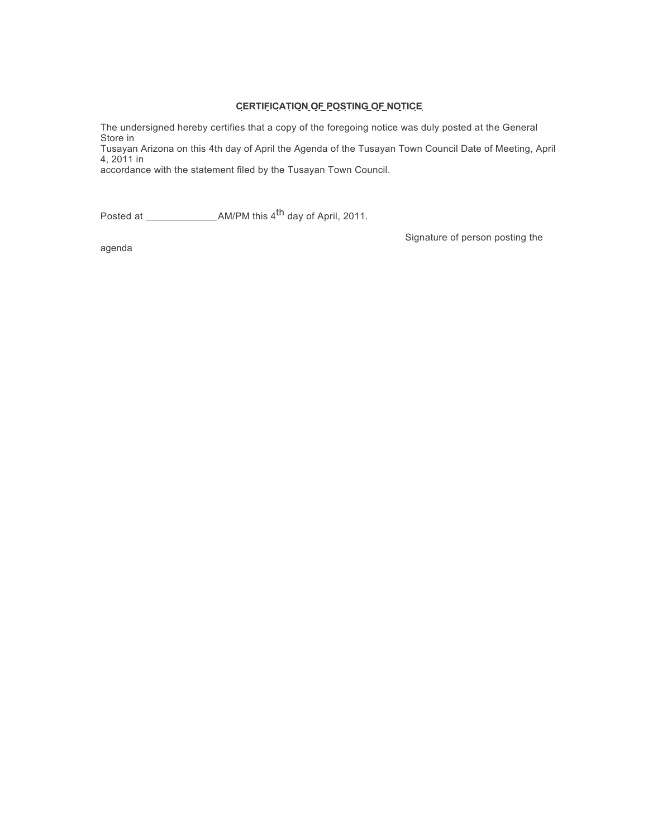### **CERTIFICATION OF POSTING OF NOTICE**

The undersigned hereby certifies that a copy of the foregoing notice was duly posted at the General Store in

Tusayan Arizona on this 4th day of April the Agenda of the Tusayan Town Council Date of Meeting, April 4, 2011 in

accordance with the statement filed by the Tusayan Town Council.

Posted at AM/PM this 4th day of April, 2011.

Signature of person posting the

agenda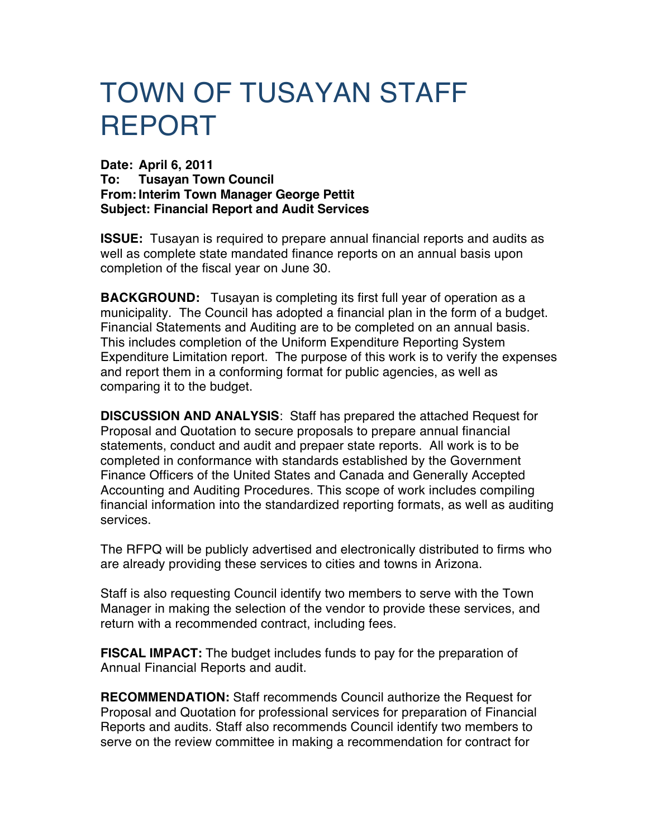# TOWN OF TUSAYAN STAFF REPORT

**Date: April 6, 2011 To: Tusayan Town Council From: Interim Town Manager George Pettit Subject: Financial Report and Audit Services**

**ISSUE:** Tusayan is required to prepare annual financial reports and audits as well as complete state mandated finance reports on an annual basis upon completion of the fiscal year on June 30.

**BACKGROUND:** Tusayan is completing its first full year of operation as a municipality. The Council has adopted a financial plan in the form of a budget. Financial Statements and Auditing are to be completed on an annual basis. This includes completion of the Uniform Expenditure Reporting System Expenditure Limitation report. The purpose of this work is to verify the expenses and report them in a conforming format for public agencies, as well as comparing it to the budget.

**DISCUSSION AND ANALYSIS**: Staff has prepared the attached Request for Proposal and Quotation to secure proposals to prepare annual financial statements, conduct and audit and prepaer state reports. All work is to be completed in conformance with standards established by the Government Finance Officers of the United States and Canada and Generally Accepted Accounting and Auditing Procedures. This scope of work includes compiling financial information into the standardized reporting formats, as well as auditing services.

The RFPQ will be publicly advertised and electronically distributed to firms who are already providing these services to cities and towns in Arizona.

Staff is also requesting Council identify two members to serve with the Town Manager in making the selection of the vendor to provide these services, and return with a recommended contract, including fees.

**FISCAL IMPACT:** The budget includes funds to pay for the preparation of Annual Financial Reports and audit.

**RECOMMENDATION:** Staff recommends Council authorize the Request for Proposal and Quotation for professional services for preparation of Financial Reports and audits. Staff also recommends Council identify two members to serve on the review committee in making a recommendation for contract for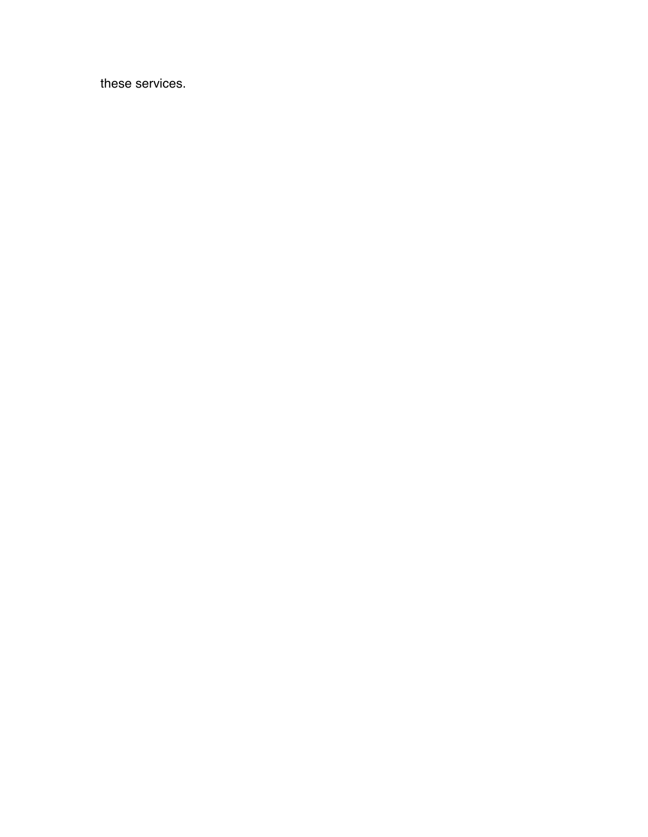these services.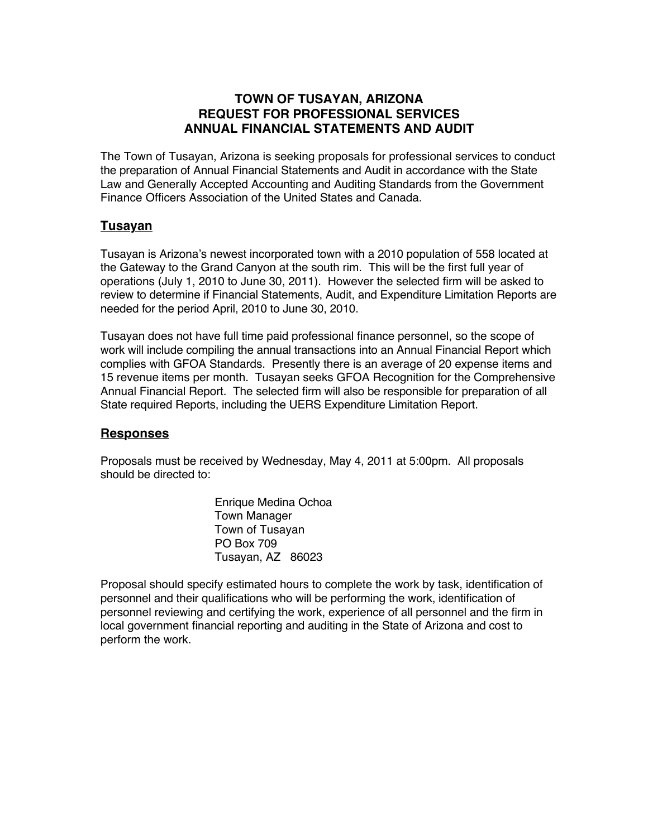### **TOWN OF TUSAYAN, ARIZONA REQUEST FOR PROFESSIONAL SERVICES ANNUAL FINANCIAL STATEMENTS AND AUDIT**

The Town of Tusayan, Arizona is seeking proposals for professional services to conduct the preparation of Annual Financial Statements and Audit in accordance with the State Law and Generally Accepted Accounting and Auditing Standards from the Government Finance Officers Association of the United States and Canada.

### **Tusayan**

Tusayan is Arizona's newest incorporated town with a 2010 population of 558 located at the Gateway to the Grand Canyon at the south rim. This will be the first full year of operations (July 1, 2010 to June 30, 2011). However the selected firm will be asked to review to determine if Financial Statements, Audit, and Expenditure Limitation Reports are needed for the period April, 2010 to June 30, 2010.

Tusayan does not have full time paid professional finance personnel, so the scope of work will include compiling the annual transactions into an Annual Financial Report which complies with GFOA Standards. Presently there is an average of 20 expense items and 15 revenue items per month. Tusayan seeks GFOA Recognition for the Comprehensive Annual Financial Report. The selected firm will also be responsible for preparation of all State required Reports, including the UERS Expenditure Limitation Report.

### **Responses**

Proposals must be received by Wednesday, May 4, 2011 at 5:00pm. All proposals should be directed to:

> Enrique Medina Ochoa Town Manager Town of Tusayan PO Box 709 Tusayan, AZ 86023

Proposal should specify estimated hours to complete the work by task, identification of personnel and their qualifications who will be performing the work, identification of personnel reviewing and certifying the work, experience of all personnel and the firm in local government financial reporting and auditing in the State of Arizona and cost to perform the work.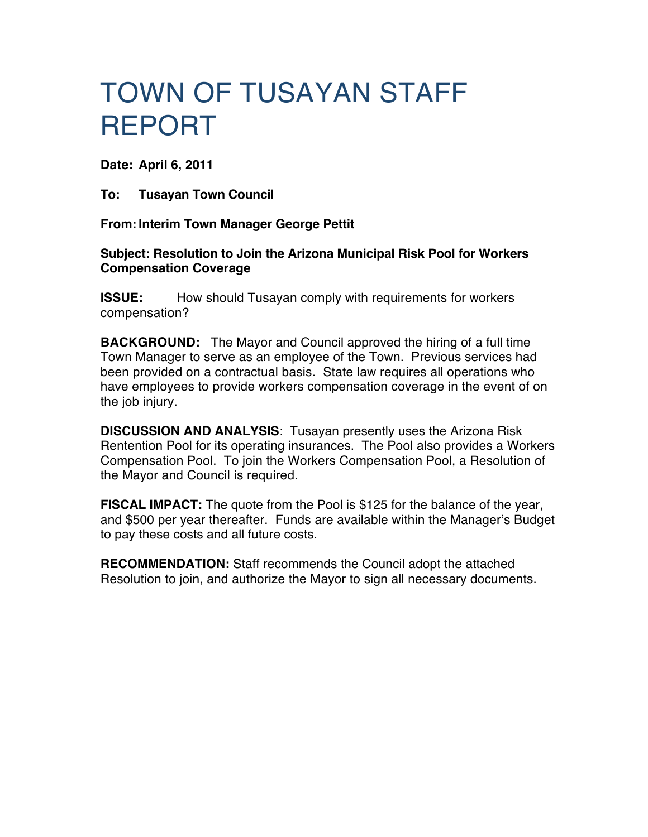# TOWN OF TUSAYAN STAFF REPORT

**Date: April 6, 2011**

**To: Tusayan Town Council**

**From: Interim Town Manager George Pettit**

**Subject: Resolution to Join the Arizona Municipal Risk Pool for Workers Compensation Coverage**

**ISSUE:** How should Tusayan comply with requirements for workers compensation?

**BACKGROUND:** The Mayor and Council approved the hiring of a full time Town Manager to serve as an employee of the Town. Previous services had been provided on a contractual basis. State law requires all operations who have employees to provide workers compensation coverage in the event of on the job injury.

**DISCUSSION AND ANALYSIS**: Tusayan presently uses the Arizona Risk Rentention Pool for its operating insurances. The Pool also provides a Workers Compensation Pool. To join the Workers Compensation Pool, a Resolution of the Mayor and Council is required.

**FISCAL IMPACT:** The quote from the Pool is \$125 for the balance of the year, and \$500 per year thereafter. Funds are available within the Manager's Budget to pay these costs and all future costs.

**RECOMMENDATION:** Staff recommends the Council adopt the attached Resolution to join, and authorize the Mayor to sign all necessary documents.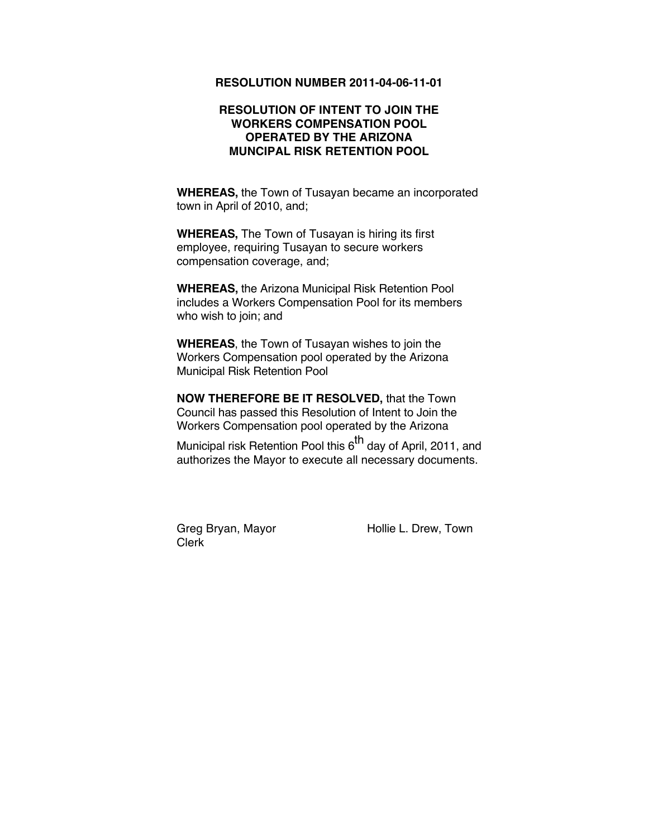### **RESOLUTION NUMBER 2011-04-06-11-01**

### **RESOLUTION OF INTENT TO JOIN THE WORKERS COMPENSATION POOL OPERATED BY THE ARIZONA MUNCIPAL RISK RETENTION POOL**

**WHEREAS,** the Town of Tusayan became an incorporated town in April of 2010, and;

**WHEREAS,** The Town of Tusayan is hiring its first employee, requiring Tusayan to secure workers compensation coverage, and;

**WHEREAS,** the Arizona Municipal Risk Retention Pool includes a Workers Compensation Pool for its members who wish to join; and

**WHEREAS**, the Town of Tusayan wishes to join the Workers Compensation pool operated by the Arizona Municipal Risk Retention Pool

**NOW THEREFORE BE IT RESOLVED,** that the Town Council has passed this Resolution of Intent to Join the Workers Compensation pool operated by the Arizona

Municipal risk Retention Pool this  $6<sup>th</sup>$  day of April, 2011, and authorizes the Mayor to execute all necessary documents.

Clerk

Greg Bryan, Mayor **Hollie L. Drew, Town**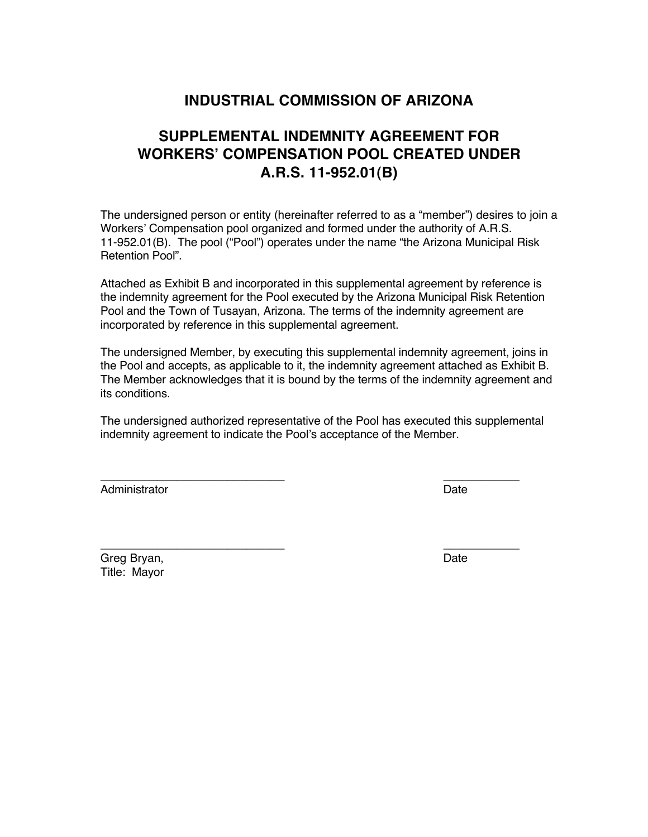### **INDUSTRIAL COMMISSION OF ARIZONA**

### **SUPPLEMENTAL INDEMNITY AGREEMENT FOR WORKERS' COMPENSATION POOL CREATED UNDER A.R.S. 11-952.01(B)**

The undersigned person or entity (hereinafter referred to as a "member") desires to join a Workers' Compensation pool organized and formed under the authority of A.R.S. 11-952.01(B). The pool ("Pool") operates under the name "the Arizona Municipal Risk Retention Pool".

Attached as Exhibit B and incorporated in this supplemental agreement by reference is the indemnity agreement for the Pool executed by the Arizona Municipal Risk Retention Pool and the Town of Tusayan, Arizona. The terms of the indemnity agreement are incorporated by reference in this supplemental agreement.

The undersigned Member, by executing this supplemental indemnity agreement, joins in the Pool and accepts, as applicable to it, the indemnity agreement attached as Exhibit B. The Member acknowledges that it is bound by the terms of the indemnity agreement and its conditions.

The undersigned authorized representative of the Pool has executed this supplemental indemnity agreement to indicate the Pool's acceptance of the Member.

\_\_\_\_\_\_\_\_\_\_\_\_\_\_\_\_\_\_\_\_\_\_\_\_\_\_\_\_\_ \_\_\_\_\_\_\_\_\_\_\_\_

Administrator Date **Date** 

Greg Bryan, Date Communication and Date Communication and Date Communication and Date Title: Mayor

\_\_\_\_\_\_\_\_\_\_\_\_\_\_\_\_\_\_\_\_\_\_\_\_\_\_\_\_\_ \_\_\_\_\_\_\_\_\_\_\_\_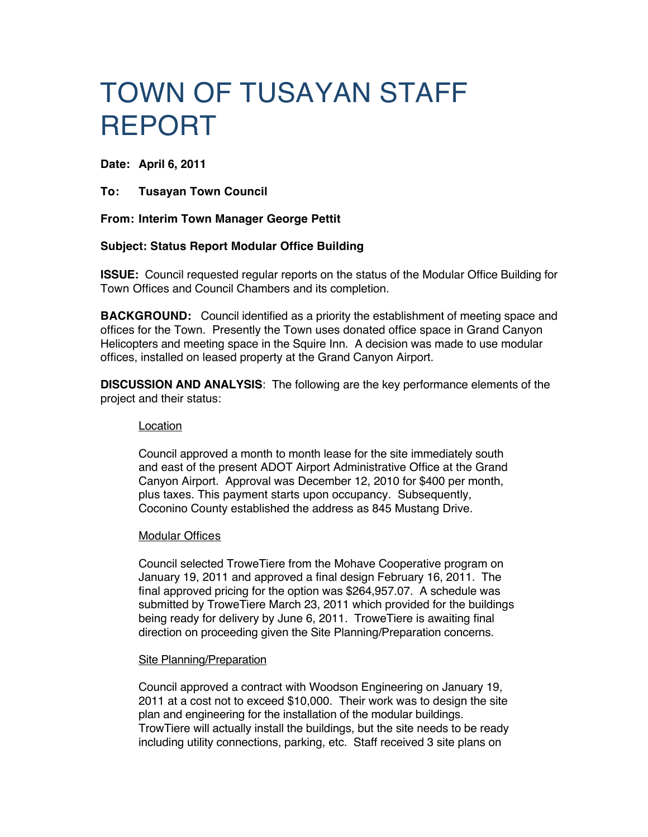# TOWN OF TUSAYAN STAFF REPORT

**Date: April 6, 2011**

**To: Tusayan Town Council**

### **From: Interim Town Manager George Pettit**

### **Subject: Status Report Modular Office Building**

**ISSUE:** Council requested regular reports on the status of the Modular Office Building for Town Offices and Council Chambers and its completion.

**BACKGROUND:** Council identified as a priority the establishment of meeting space and offices for the Town. Presently the Town uses donated office space in Grand Canyon Helicopters and meeting space in the Squire Inn. A decision was made to use modular offices, installed on leased property at the Grand Canyon Airport.

**DISCUSSION AND ANALYSIS**: The following are the key performance elements of the project and their status:

### Location

Council approved a month to month lease for the site immediately south and east of the present ADOT Airport Administrative Office at the Grand Canyon Airport. Approval was December 12, 2010 for \$400 per month, plus taxes. This payment starts upon occupancy. Subsequently, Coconino County established the address as 845 Mustang Drive.

### Modular Offices

Council selected TroweTiere from the Mohave Cooperative program on January 19, 2011 and approved a final design February 16, 2011. The final approved pricing for the option was \$264,957.07. A schedule was submitted by TroweTiere March 23, 2011 which provided for the buildings being ready for delivery by June 6, 2011. TroweTiere is awaiting final direction on proceeding given the Site Planning/Preparation concerns.

### Site Planning/Preparation

Council approved a contract with Woodson Engineering on January 19, 2011 at a cost not to exceed \$10,000. Their work was to design the site plan and engineering for the installation of the modular buildings. TrowTiere will actually install the buildings, but the site needs to be ready including utility connections, parking, etc. Staff received 3 site plans on